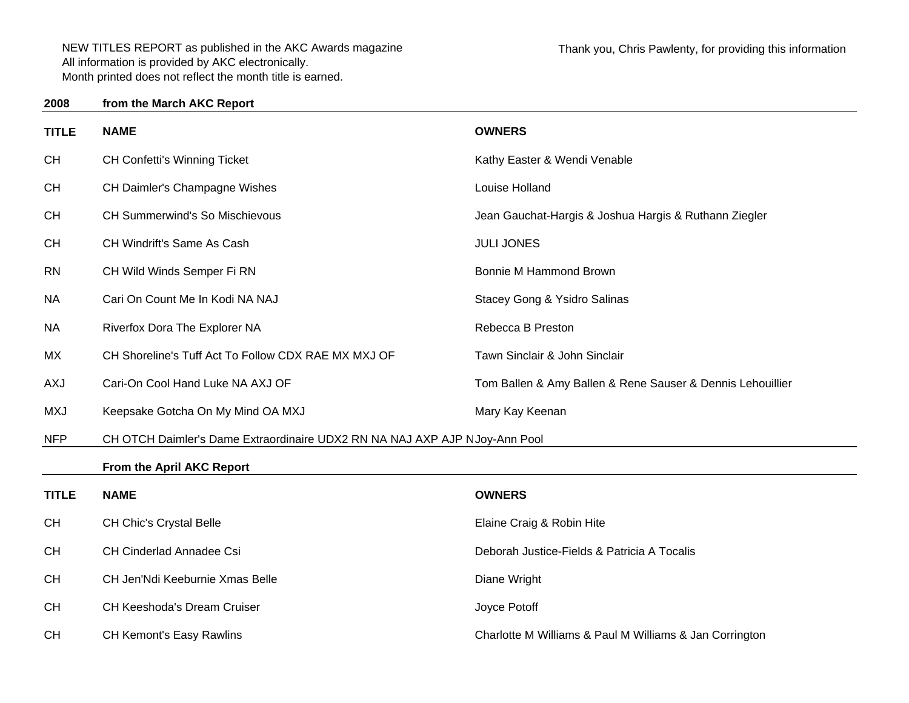CH CH Keeshoda's Dream Cruiser CH CH CH CH CH Keeshoda's Dream Cruiser

| ----         |                                                                            |                                                            |
|--------------|----------------------------------------------------------------------------|------------------------------------------------------------|
| <b>TITLE</b> | <b>NAME</b>                                                                | <b>OWNERS</b>                                              |
| <b>CH</b>    | <b>CH Confetti's Winning Ticket</b>                                        | Kathy Easter & Wendi Venable                               |
| <b>CH</b>    | CH Daimler's Champagne Wishes                                              | Louise Holland                                             |
| <b>CH</b>    | CH Summerwind's So Mischievous                                             | Jean Gauchat-Hargis & Joshua Hargis & Ruthann Ziegler      |
| <b>CH</b>    | CH Windrift's Same As Cash                                                 | <b>JULI JONES</b>                                          |
| <b>RN</b>    | CH Wild Winds Semper Fi RN                                                 | Bonnie M Hammond Brown                                     |
| <b>NA</b>    | Cari On Count Me In Kodi NA NAJ                                            | Stacey Gong & Ysidro Salinas                               |
| <b>NA</b>    | Riverfox Dora The Explorer NA                                              | Rebecca B Preston                                          |
| MX           | CH Shoreline's Tuff Act To Follow CDX RAE MX MXJ OF                        | Tawn Sinclair & John Sinclair                              |
| <b>AXJ</b>   | Cari-On Cool Hand Luke NA AXJ OF                                           | Tom Ballen & Amy Ballen & Rene Sauser & Dennis Lehouillier |
| <b>MXJ</b>   | Keepsake Gotcha On My Mind OA MXJ                                          | Mary Kay Keenan                                            |
| <b>NFP</b>   | CH OTCH Daimler's Dame Extraordinaire UDX2 RN NA NAJ AXP AJP NJoy-Ann Pool |                                                            |
|              | From the April AKC Report                                                  |                                                            |
| <b>TITLE</b> | <b>NAME</b>                                                                | <b>OWNERS</b>                                              |
| <b>CH</b>    | CH Chic's Crystal Belle                                                    | Elaine Craig & Robin Hite                                  |
| <b>CH</b>    | <b>CH Cinderlad Annadee Csi</b>                                            | Deborah Justice-Fields & Patricia A Tocalis                |
| <b>CH</b>    | CH Jen'Ndi Keeburnie Xmas Belle                                            | Diane Wright                                               |

CH CH Kemont's Easy Rawlins Charlotte M Williams & Paul M Williams & Jan Corrington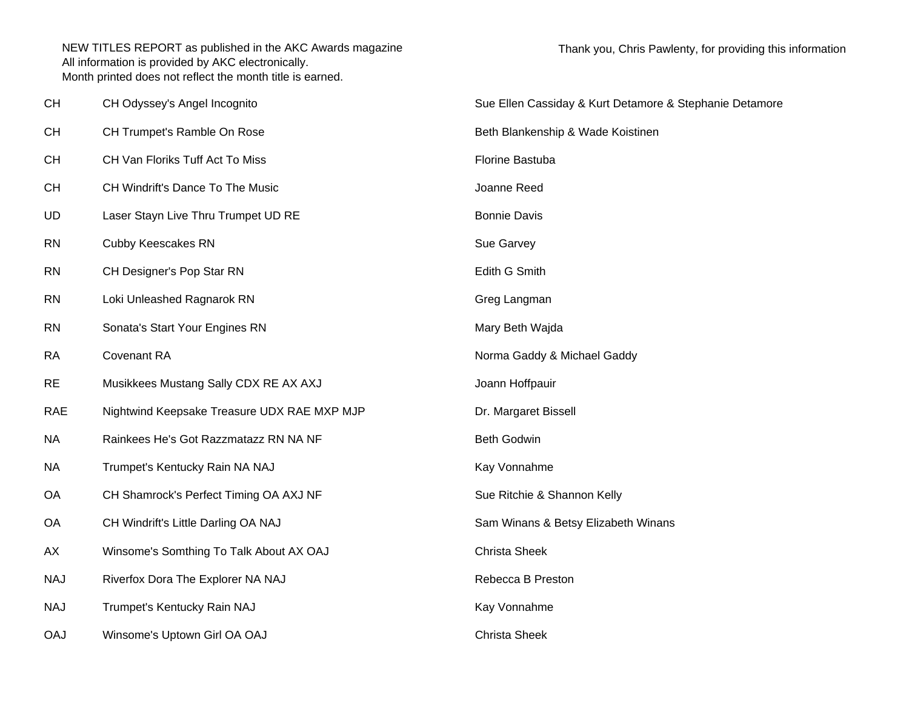| <b>CH</b>  | CH Odyssey's Angel Incognito                | Sue Ellen Cassiday & Kurt Detamore & Stephanie Detamore |
|------------|---------------------------------------------|---------------------------------------------------------|
| <b>CH</b>  | CH Trumpet's Ramble On Rose                 | Beth Blankenship & Wade Koistinen                       |
| <b>CH</b>  | CH Van Floriks Tuff Act To Miss             | Florine Bastuba                                         |
| <b>CH</b>  | CH Windrift's Dance To The Music            | Joanne Reed                                             |
| <b>UD</b>  | Laser Stayn Live Thru Trumpet UD RE         | <b>Bonnie Davis</b>                                     |
| <b>RN</b>  | <b>Cubby Keescakes RN</b>                   | Sue Garvey                                              |
| <b>RN</b>  | CH Designer's Pop Star RN                   | Edith G Smith                                           |
| <b>RN</b>  | Loki Unleashed Ragnarok RN                  | Greg Langman                                            |
| <b>RN</b>  | Sonata's Start Your Engines RN              | Mary Beth Wajda                                         |
| <b>RA</b>  | Covenant RA                                 | Norma Gaddy & Michael Gaddy                             |
| <b>RE</b>  | Musikkees Mustang Sally CDX RE AX AXJ       | Joann Hoffpauir                                         |
| <b>RAE</b> | Nightwind Keepsake Treasure UDX RAE MXP MJP | Dr. Margaret Bissell                                    |
| <b>NA</b>  | Rainkees He's Got Razzmatazz RN NA NF       | <b>Beth Godwin</b>                                      |
| <b>NA</b>  | Trumpet's Kentucky Rain NA NAJ              | Kay Vonnahme                                            |
| OA         | CH Shamrock's Perfect Timing OA AXJ NF      | Sue Ritchie & Shannon Kelly                             |
| OA         | CH Windrift's Little Darling OA NAJ         | Sam Winans & Betsy Elizabeth Winans                     |
| AX         | Winsome's Somthing To Talk About AX OAJ     | <b>Christa Sheek</b>                                    |
| <b>NAJ</b> | Riverfox Dora The Explorer NA NAJ           | Rebecca B Preston                                       |
| <b>NAJ</b> | Trumpet's Kentucky Rain NAJ                 | Kay Vonnahme                                            |
| <b>OAJ</b> | Winsome's Uptown Girl OA OAJ                | <b>Christa Sheek</b>                                    |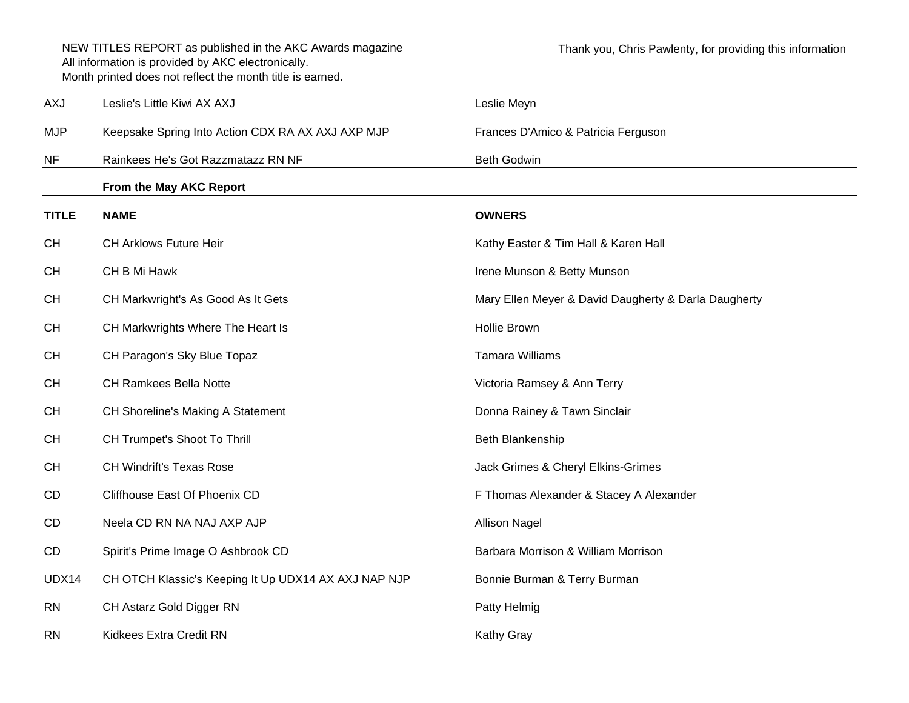|              | NEW TITLES REPORT as published in the AKC Awards magazine<br>All information is provided by AKC electronically.<br>Month printed does not reflect the month title is earned. | Thank you, Chris Pawlenty, for providing this information |
|--------------|------------------------------------------------------------------------------------------------------------------------------------------------------------------------------|-----------------------------------------------------------|
| AXJ          | Leslie's Little Kiwi AX AXJ                                                                                                                                                  | Leslie Meyn                                               |
| <b>MJP</b>   | Keepsake Spring Into Action CDX RA AX AXJ AXP MJP                                                                                                                            | Frances D'Amico & Patricia Ferguson                       |
| NF           | Rainkees He's Got Razzmatazz RN NF                                                                                                                                           | <b>Beth Godwin</b>                                        |
|              | From the May AKC Report                                                                                                                                                      |                                                           |
| <b>TITLE</b> | <b>NAME</b>                                                                                                                                                                  | <b>OWNERS</b>                                             |
| СH           | CH Arklows Future Heir                                                                                                                                                       | Kathy Easter & Tim Hall & Karen Hall                      |
| СH           | CH B Mi Hawk                                                                                                                                                                 | Irene Munson & Betty Munson                               |
| CН           | CH Markwright's As Good As It Gets                                                                                                                                           | Mary Ellen Meyer & David Daugherty & Darla Daugherty      |
| CН           | CH Markwrights Where The Heart Is                                                                                                                                            | <b>Hollie Brown</b>                                       |
| СH           | CH Paragon's Sky Blue Topaz                                                                                                                                                  | <b>Tamara Williams</b>                                    |
| СH           | <b>CH Ramkees Bella Notte</b>                                                                                                                                                | Victoria Ramsey & Ann Terry                               |
| CН           | <b>CH Shoreline's Making A Statement</b>                                                                                                                                     | Donna Rainey & Tawn Sinclair                              |
| CН           | CH Trumpet's Shoot To Thrill                                                                                                                                                 | Beth Blankenship                                          |
| СH           | <b>CH Windrift's Texas Rose</b>                                                                                                                                              | Jack Grimes & Cheryl Elkins-Grimes                        |
| CD           | Cliffhouse East Of Phoenix CD                                                                                                                                                | F Thomas Alexander & Stacey A Alexander                   |
| CD           | Neela CD RN NA NAJ AXP AJP                                                                                                                                                   | <b>Allison Nagel</b>                                      |
| CD           | Spirit's Prime Image O Ashbrook CD                                                                                                                                           | Barbara Morrison & William Morrison                       |
| UDX14        | CH OTCH Klassic's Keeping It Up UDX14 AX AXJ NAP NJP                                                                                                                         | Bonnie Burman & Terry Burman                              |
| <b>RN</b>    | CH Astarz Gold Digger RN                                                                                                                                                     | Patty Helmig                                              |
| <b>RN</b>    | Kidkees Extra Credit RN                                                                                                                                                      | Kathy Gray                                                |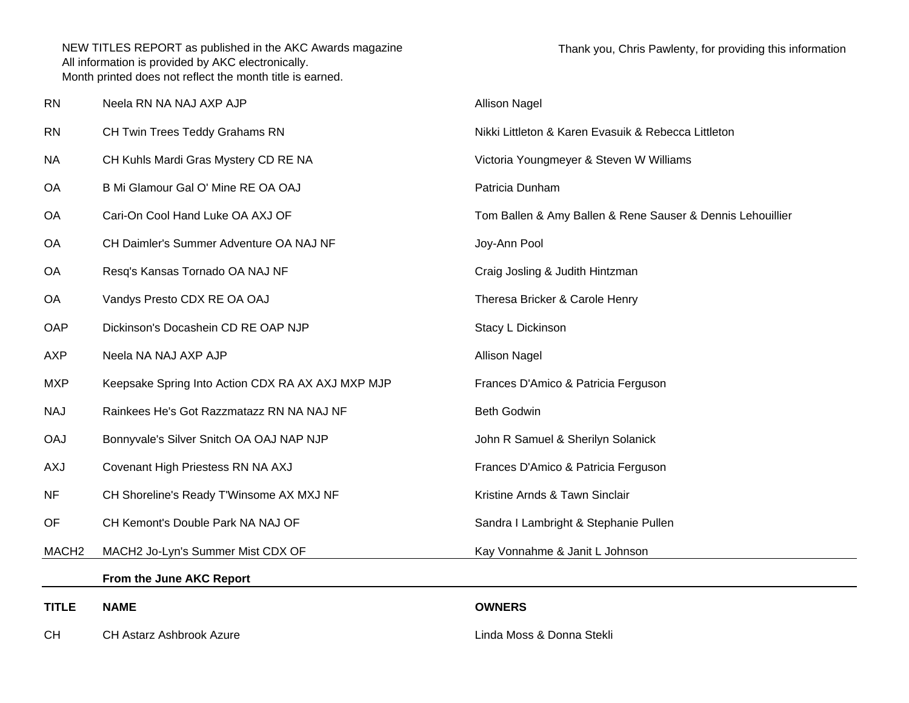| <b>RN</b>         | Neela RN NA NAJ AXP AJP                           | <b>Allison Nagel</b>                                       |
|-------------------|---------------------------------------------------|------------------------------------------------------------|
| <b>RN</b>         | CH Twin Trees Teddy Grahams RN                    | Nikki Littleton & Karen Evasuik & Rebecca Littleton        |
| <b>NA</b>         | CH Kuhls Mardi Gras Mystery CD RE NA              | Victoria Youngmeyer & Steven W Williams                    |
| <b>OA</b>         | B Mi Glamour Gal O' Mine RE OA OAJ                | Patricia Dunham                                            |
| <b>OA</b>         | Cari-On Cool Hand Luke OA AXJ OF                  | Tom Ballen & Amy Ballen & Rene Sauser & Dennis Lehouillier |
| <b>OA</b>         | CH Daimler's Summer Adventure OA NAJ NF           | Joy-Ann Pool                                               |
| <b>OA</b>         | Resq's Kansas Tornado OA NAJ NF                   | Craig Josling & Judith Hintzman                            |
| <b>OA</b>         | Vandys Presto CDX RE OA OAJ                       | Theresa Bricker & Carole Henry                             |
| OAP               | Dickinson's Docashein CD RE OAP NJP               | Stacy L Dickinson                                          |
| <b>AXP</b>        | Neela NA NAJ AXP AJP                              | <b>Allison Nagel</b>                                       |
| <b>MXP</b>        | Keepsake Spring Into Action CDX RA AX AXJ MXP MJP | Frances D'Amico & Patricia Ferguson                        |
| <b>NAJ</b>        | Rainkees He's Got Razzmatazz RN NA NAJ NF         | Beth Godwin                                                |
| <b>OAJ</b>        | Bonnyvale's Silver Snitch OA OAJ NAP NJP          | John R Samuel & Sherilyn Solanick                          |
| <b>AXJ</b>        | Covenant High Priestess RN NA AXJ                 | Frances D'Amico & Patricia Ferguson                        |
| <b>NF</b>         | CH Shoreline's Ready T'Winsome AX MXJ NF          | Kristine Arnds & Tawn Sinclair                             |
| OF                | CH Kemont's Double Park NA NAJ OF                 | Sandra I Lambright & Stephanie Pullen                      |
| MACH <sub>2</sub> | MACH2 Jo-Lyn's Summer Mist CDX OF                 | Kay Vonnahme & Janit L Johnson                             |
|                   | From the June AKC Report                          |                                                            |
| <b>TITLE</b>      | <b>NAME</b>                                       | <b>OWNERS</b>                                              |
| <b>CH</b>         | <b>CH Astarz Ashbrook Azure</b>                   | Linda Moss & Donna Stekli                                  |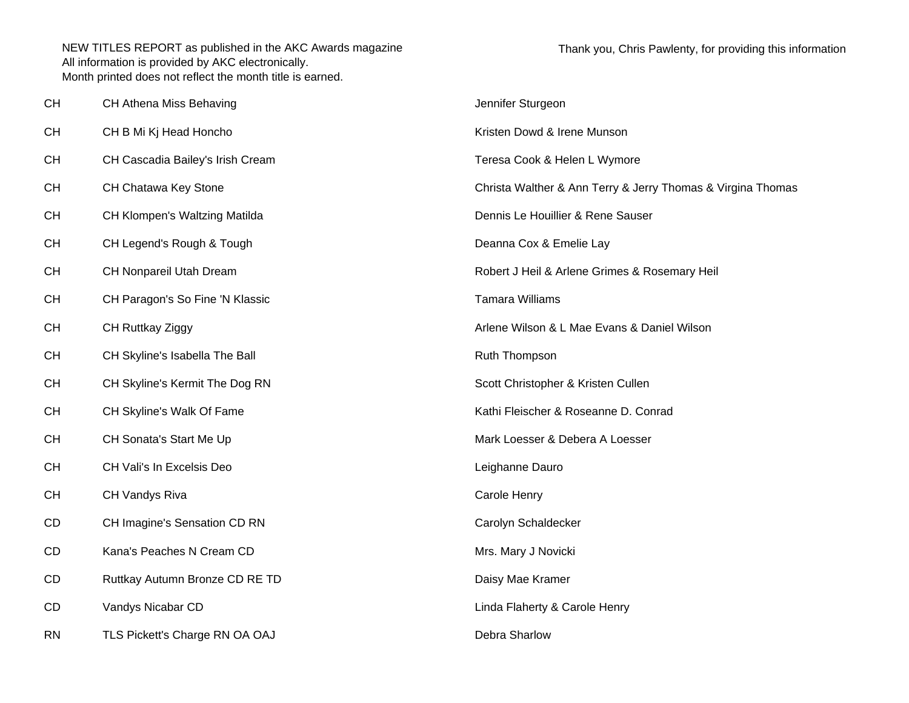| <b>CH</b> | CH Athena Miss Behaving          | Jennifer Sturgeon                                           |
|-----------|----------------------------------|-------------------------------------------------------------|
| <b>CH</b> | CH B Mi Kj Head Honcho           | Kristen Dowd & Irene Munson                                 |
| <b>CH</b> | CH Cascadia Bailey's Irish Cream | Teresa Cook & Helen L Wymore                                |
| <b>CH</b> | CH Chatawa Key Stone             | Christa Walther & Ann Terry & Jerry Thomas & Virgina Thomas |
| <b>CH</b> | CH Klompen's Waltzing Matilda    | Dennis Le Houillier & Rene Sauser                           |
| <b>CH</b> | CH Legend's Rough & Tough        | Deanna Cox & Emelie Lay                                     |
| <b>CH</b> | CH Nonpareil Utah Dream          | Robert J Heil & Arlene Grimes & Rosemary Heil               |
| <b>CH</b> | CH Paragon's So Fine 'N Klassic  | <b>Tamara Williams</b>                                      |
| <b>CH</b> | CH Ruttkay Ziggy                 | Arlene Wilson & L Mae Evans & Daniel Wilson                 |
| <b>CH</b> | CH Skyline's Isabella The Ball   | Ruth Thompson                                               |
| <b>CH</b> | CH Skyline's Kermit The Dog RN   | Scott Christopher & Kristen Cullen                          |
| <b>CH</b> | CH Skyline's Walk Of Fame        | Kathi Fleischer & Roseanne D. Conrad                        |
| <b>CH</b> | CH Sonata's Start Me Up          | Mark Loesser & Debera A Loesser                             |
| <b>CH</b> | CH Vali's In Excelsis Deo        | Leighanne Dauro                                             |
| <b>CH</b> | CH Vandys Riva                   | Carole Henry                                                |
| CD        | CH Imagine's Sensation CD RN     | Carolyn Schaldecker                                         |
| CD        | Kana's Peaches N Cream CD        | Mrs. Mary J Novicki                                         |
| CD        | Ruttkay Autumn Bronze CD RE TD   | Daisy Mae Kramer                                            |
| CD        | Vandys Nicabar CD                | Linda Flaherty & Carole Henry                               |
| <b>RN</b> | TLS Pickett's Charge RN OA OAJ   | Debra Sharlow                                               |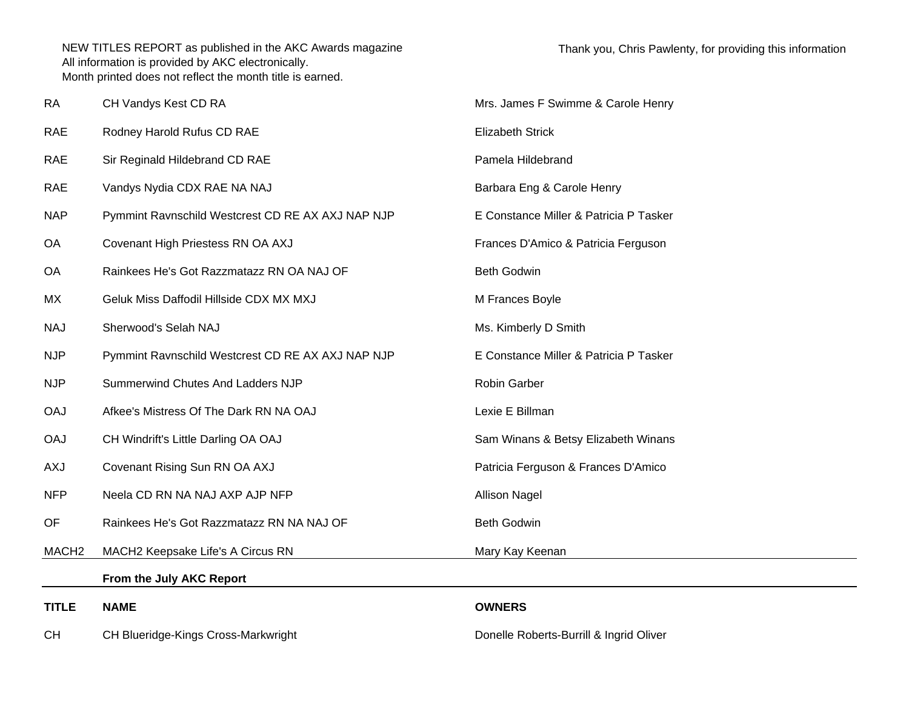| <b>RA</b>         | CH Vandys Kest CD RA                              | Mrs. James F Swimme & Carole Henry      |
|-------------------|---------------------------------------------------|-----------------------------------------|
| <b>RAE</b>        | Rodney Harold Rufus CD RAE                        | <b>Elizabeth Strick</b>                 |
| <b>RAE</b>        | Sir Reginald Hildebrand CD RAE                    | Pamela Hildebrand                       |
| <b>RAE</b>        | Vandys Nydia CDX RAE NA NAJ                       | Barbara Eng & Carole Henry              |
| <b>NAP</b>        | Pymmint Ravnschild Westcrest CD RE AX AXJ NAP NJP | E Constance Miller & Patricia P Tasker  |
| OA                | Covenant High Priestess RN OA AXJ                 | Frances D'Amico & Patricia Ferguson     |
| OA                | Rainkees He's Got Razzmatazz RN OA NAJ OF         | <b>Beth Godwin</b>                      |
| MX                | Geluk Miss Daffodil Hillside CDX MX MXJ           | M Frances Boyle                         |
| <b>NAJ</b>        | Sherwood's Selah NAJ                              | Ms. Kimberly D Smith                    |
| <b>NJP</b>        | Pymmint Ravnschild Westcrest CD RE AX AXJ NAP NJP | E Constance Miller & Patricia P Tasker  |
| <b>NJP</b>        | Summerwind Chutes And Ladders NJP                 | Robin Garber                            |
| <b>OAJ</b>        | Afkee's Mistress Of The Dark RN NA OAJ            | Lexie E Billman                         |
| <b>OAJ</b>        | CH Windrift's Little Darling OA OAJ               | Sam Winans & Betsy Elizabeth Winans     |
| <b>AXJ</b>        | Covenant Rising Sun RN OA AXJ                     | Patricia Ferguson & Frances D'Amico     |
| <b>NFP</b>        | Neela CD RN NA NAJ AXP AJP NFP                    | <b>Allison Nagel</b>                    |
| OF                | Rainkees He's Got Razzmatazz RN NA NAJ OF         | <b>Beth Godwin</b>                      |
| MACH <sub>2</sub> | MACH2 Keepsake Life's A Circus RN                 | Mary Kay Keenan                         |
|                   | From the July AKC Report                          |                                         |
| <b>TITLE</b>      | <b>NAME</b>                                       | <b>OWNERS</b>                           |
| <b>CH</b>         | CH Blueridge-Kings Cross-Markwright               | Donelle Roberts-Burrill & Ingrid Oliver |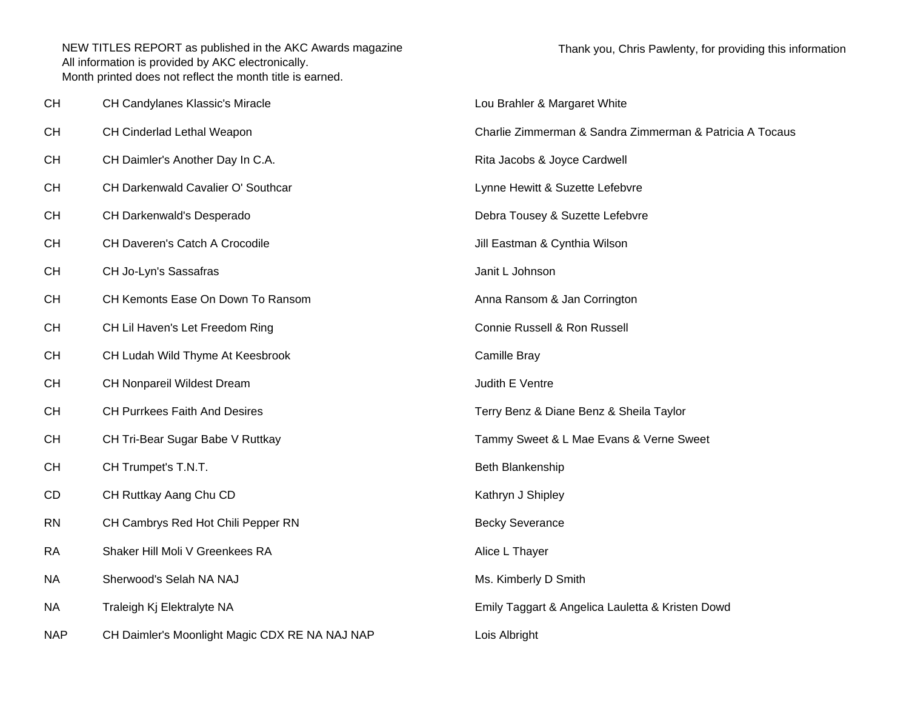| <b>CH</b>  | CH Candylanes Klassic's Miracle                | Lou Brahler & Margaret White                             |
|------------|------------------------------------------------|----------------------------------------------------------|
| <b>CH</b>  | CH Cinderlad Lethal Weapon                     | Charlie Zimmerman & Sandra Zimmerman & Patricia A Tocaus |
| <b>CH</b>  | CH Daimler's Another Day In C.A.               | Rita Jacobs & Joyce Cardwell                             |
| <b>CH</b>  | CH Darkenwald Cavalier O' Southcar             | Lynne Hewitt & Suzette Lefebvre                          |
| <b>CH</b>  | CH Darkenwald's Desperado                      | Debra Tousey & Suzette Lefebvre                          |
| <b>CH</b>  | CH Daveren's Catch A Crocodile                 | Jill Eastman & Cynthia Wilson                            |
| <b>CH</b>  | CH Jo-Lyn's Sassafras                          | Janit L Johnson                                          |
| <b>CH</b>  | CH Kemonts Ease On Down To Ransom              | Anna Ransom & Jan Corrington                             |
| <b>CH</b>  | CH Lil Haven's Let Freedom Ring                | Connie Russell & Ron Russell                             |
| <b>CH</b>  | CH Ludah Wild Thyme At Keesbrook               | Camille Bray                                             |
| <b>CH</b>  | CH Nonpareil Wildest Dream                     | Judith E Ventre                                          |
| <b>CH</b>  | <b>CH Purrkees Faith And Desires</b>           | Terry Benz & Diane Benz & Sheila Taylor                  |
| <b>CH</b>  | CH Tri-Bear Sugar Babe V Ruttkay               | Tammy Sweet & L Mae Evans & Verne Sweet                  |
| <b>CH</b>  | CH Trumpet's T.N.T.                            | Beth Blankenship                                         |
| CD         | CH Ruttkay Aang Chu CD                         | Kathryn J Shipley                                        |
| <b>RN</b>  | CH Cambrys Red Hot Chili Pepper RN             | <b>Becky Severance</b>                                   |
| <b>RA</b>  | Shaker Hill Moli V Greenkees RA                | Alice L Thayer                                           |
| <b>NA</b>  | Sherwood's Selah NA NAJ                        | Ms. Kimberly D Smith                                     |
| <b>NA</b>  | Traleigh Kj Elektralyte NA                     | Emily Taggart & Angelica Lauletta & Kristen Dowd         |
| <b>NAP</b> | CH Daimler's Moonlight Magic CDX RE NA NAJ NAP | Lois Albright                                            |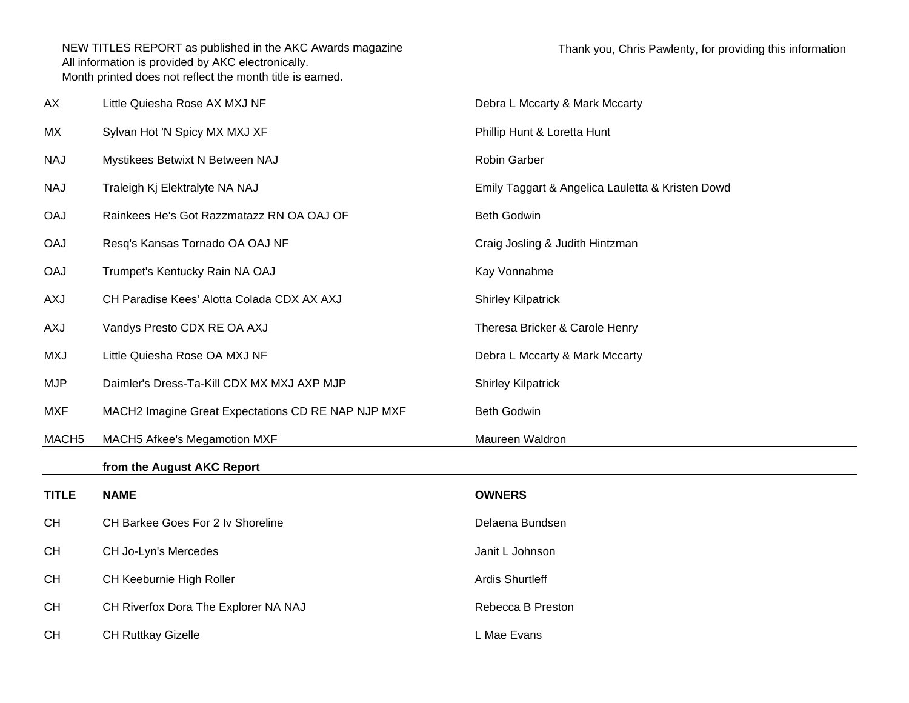| AX                | Little Quiesha Rose AX MXJ NF                      | Debra L Mccarty & Mark Mccarty                   |
|-------------------|----------------------------------------------------|--------------------------------------------------|
| МX                | Sylvan Hot 'N Spicy MX MXJ XF                      | Phillip Hunt & Loretta Hunt                      |
| <b>NAJ</b>        | Mystikees Betwixt N Between NAJ                    | Robin Garber                                     |
| <b>NAJ</b>        | Traleigh Kj Elektralyte NA NAJ                     | Emily Taggart & Angelica Lauletta & Kristen Dowd |
| <b>OAJ</b>        | Rainkees He's Got Razzmatazz RN OA OAJ OF          | <b>Beth Godwin</b>                               |
| <b>OAJ</b>        | Resq's Kansas Tornado OA OAJ NF                    | Craig Josling & Judith Hintzman                  |
| <b>OAJ</b>        | Trumpet's Kentucky Rain NA OAJ                     | Kay Vonnahme                                     |
| <b>AXJ</b>        | CH Paradise Kees' Alotta Colada CDX AX AXJ         | <b>Shirley Kilpatrick</b>                        |
| <b>AXJ</b>        | Vandys Presto CDX RE OA AXJ                        | Theresa Bricker & Carole Henry                   |
| <b>MXJ</b>        | Little Quiesha Rose OA MXJ NF                      | Debra L Mccarty & Mark Mccarty                   |
| <b>MJP</b>        | Daimler's Dress-Ta-Kill CDX MX MXJ AXP MJP         | <b>Shirley Kilpatrick</b>                        |
| <b>MXF</b>        | MACH2 Imagine Great Expectations CD RE NAP NJP MXF | <b>Beth Godwin</b>                               |
| MACH <sub>5</sub> | MACH5 Afkee's Megamotion MXF                       | Maureen Waldron                                  |
|                   | from the August AKC Report                         |                                                  |
| <b>TITLE</b>      | <b>NAME</b>                                        | <b>OWNERS</b>                                    |
| <b>CH</b>         | CH Barkee Goes For 2 Iv Shoreline                  | Delaena Bundsen                                  |
| <b>CH</b>         | CH Jo-Lyn's Mercedes                               | Janit L Johnson                                  |
| <b>CH</b>         | CH Keeburnie High Roller                           | <b>Ardis Shurtleff</b>                           |
| <b>CH</b>         | CH Riverfox Dora The Explorer NA NAJ               | Rebecca B Preston                                |
| <b>CH</b>         | <b>CH Ruttkay Gizelle</b>                          | L Mae Evans                                      |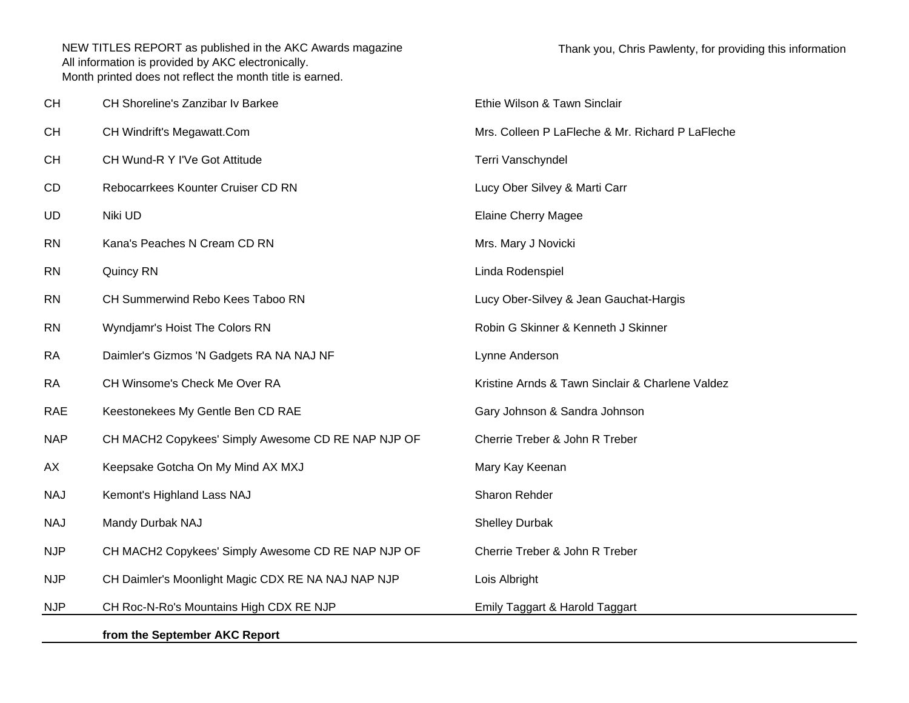| <b>CH</b>  | CH Shoreline's Zanzibar Iv Barkee                  | Ethie Wilson & Tawn Sinclair                     |
|------------|----------------------------------------------------|--------------------------------------------------|
| <b>CH</b>  | CH Windrift's Megawatt.Com                         | Mrs. Colleen P LaFleche & Mr. Richard P LaFleche |
| <b>CH</b>  | CH Wund-R Y I'Ve Got Attitude                      | Terri Vanschyndel                                |
| CD         | Rebocarrkees Kounter Cruiser CD RN                 | Lucy Ober Silvey & Marti Carr                    |
| <b>UD</b>  | Niki UD                                            | <b>Elaine Cherry Magee</b>                       |
| <b>RN</b>  | Kana's Peaches N Cream CD RN                       | Mrs. Mary J Novicki                              |
| <b>RN</b>  | Quincy RN                                          | Linda Rodenspiel                                 |
| <b>RN</b>  | CH Summerwind Rebo Kees Taboo RN                   | Lucy Ober-Silvey & Jean Gauchat-Hargis           |
| <b>RN</b>  | Wyndjamr's Hoist The Colors RN                     | Robin G Skinner & Kenneth J Skinner              |
| <b>RA</b>  | Daimler's Gizmos 'N Gadgets RA NA NAJ NF           | Lynne Anderson                                   |
| <b>RA</b>  | CH Winsome's Check Me Over RA                      | Kristine Arnds & Tawn Sinclair & Charlene Valdez |
| RAE        | Keestonekees My Gentle Ben CD RAE                  | Gary Johnson & Sandra Johnson                    |
| <b>NAP</b> | CH MACH2 Copykees' Simply Awesome CD RE NAP NJP OF | Cherrie Treber & John R Treber                   |
| AX         | Keepsake Gotcha On My Mind AX MXJ                  | Mary Kay Keenan                                  |
| <b>NAJ</b> | Kemont's Highland Lass NAJ                         | Sharon Rehder                                    |
| <b>NAJ</b> | Mandy Durbak NAJ                                   | <b>Shelley Durbak</b>                            |
| <b>NJP</b> | CH MACH2 Copykees' Simply Awesome CD RE NAP NJP OF | Cherrie Treber & John R Treber                   |
| <b>NJP</b> | CH Daimler's Moonlight Magic CDX RE NA NAJ NAP NJP | Lois Albright                                    |
| <b>NJP</b> | CH Roc-N-Ro's Mountains High CDX RE NJP            | Emily Taggart & Harold Taggart                   |
|            | from the September AKC Report                      |                                                  |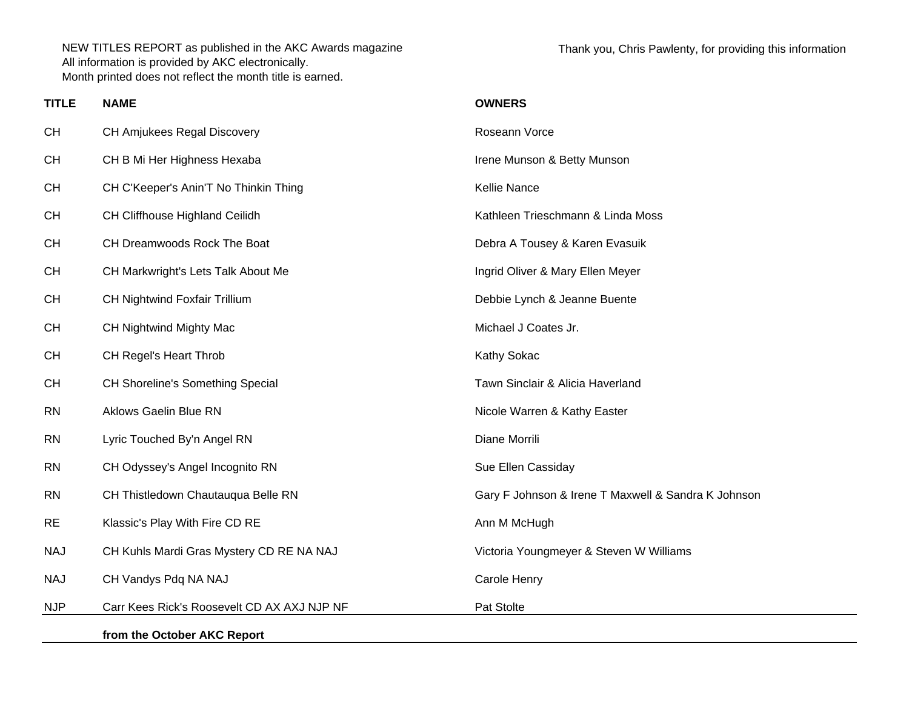Thank you, Chris Pawlenty, for providing this information

| <b>TITLE</b> | <b>NAME</b>                                 | <b>OWNERS</b>                                       |
|--------------|---------------------------------------------|-----------------------------------------------------|
| <b>CH</b>    | CH Amjukees Regal Discovery                 | Roseann Vorce                                       |
| CH           | CH B Mi Her Highness Hexaba                 | Irene Munson & Betty Munson                         |
| <b>CH</b>    | CH C'Keeper's Anin'T No Thinkin Thing       | Kellie Nance                                        |
| <b>CH</b>    | CH Cliffhouse Highland Ceilidh              | Kathleen Trieschmann & Linda Moss                   |
| CH           | CH Dreamwoods Rock The Boat                 | Debra A Tousey & Karen Evasuik                      |
| <b>CH</b>    | CH Markwright's Lets Talk About Me          | Ingrid Oliver & Mary Ellen Meyer                    |
| CH           | CH Nightwind Foxfair Trillium               | Debbie Lynch & Jeanne Buente                        |
| <b>CH</b>    | CH Nightwind Mighty Mac                     | Michael J Coates Jr.                                |
| CH           | CH Regel's Heart Throb                      | Kathy Sokac                                         |
| CH           | CH Shoreline's Something Special            | Tawn Sinclair & Alicia Haverland                    |
| <b>RN</b>    | <b>Aklows Gaelin Blue RN</b>                | Nicole Warren & Kathy Easter                        |
| <b>RN</b>    | Lyric Touched By'n Angel RN                 | Diane Morrili                                       |
| <b>RN</b>    | CH Odyssey's Angel Incognito RN             | Sue Ellen Cassiday                                  |
| <b>RN</b>    | CH Thistledown Chautauqua Belle RN          | Gary F Johnson & Irene T Maxwell & Sandra K Johnson |
| <b>RE</b>    | Klassic's Play With Fire CD RE              | Ann M McHugh                                        |
| <b>NAJ</b>   | CH Kuhls Mardi Gras Mystery CD RE NA NAJ    | Victoria Youngmeyer & Steven W Williams             |
| <b>NAJ</b>   | CH Vandys Pdq NA NAJ                        | Carole Henry                                        |
| <b>NJP</b>   | Carr Kees Rick's Roosevelt CD AX AXJ NJP NF | Pat Stolte                                          |
|              | from the October AKC Report                 |                                                     |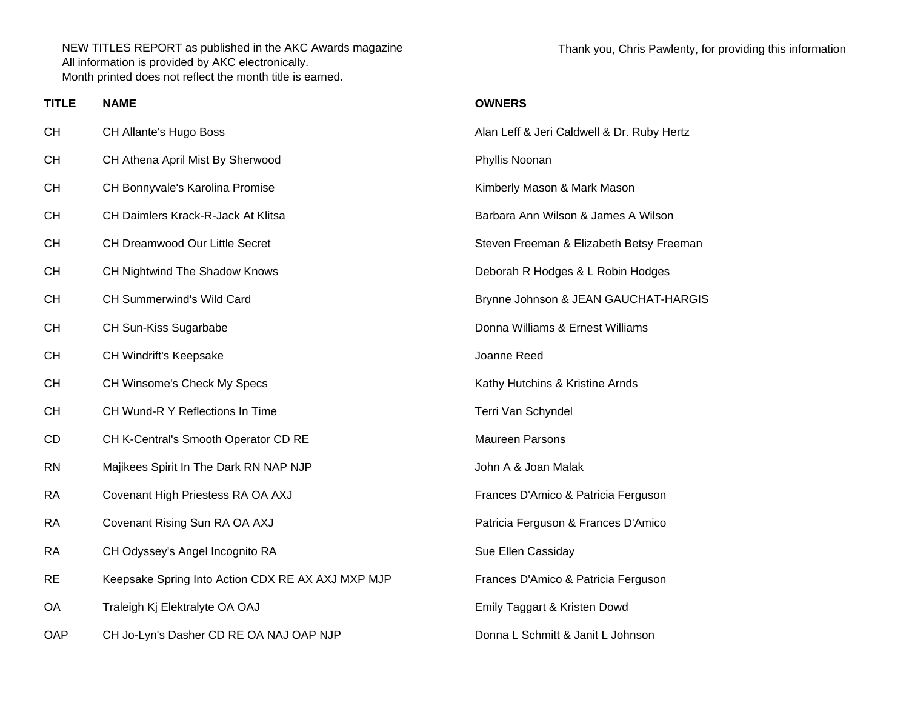Thank you, Chris Pawlenty, for providing this information

| <b>TITLE</b> | <b>NAME</b>                                       | <b>OWNERS</b>                              |
|--------------|---------------------------------------------------|--------------------------------------------|
| CН           | CH Allante's Hugo Boss                            | Alan Leff & Jeri Caldwell & Dr. Ruby Hertz |
| CН           | CH Athena April Mist By Sherwood                  | Phyllis Noonan                             |
| CН           | CH Bonnyvale's Karolina Promise                   | Kimberly Mason & Mark Mason                |
| CН           | CH Daimlers Krack-R-Jack At Klitsa                | Barbara Ann Wilson & James A Wilson        |
| CН           | CH Dreamwood Our Little Secret                    | Steven Freeman & Elizabeth Betsy Freeman   |
| CН           | CH Nightwind The Shadow Knows                     | Deborah R Hodges & L Robin Hodges          |
| CН           | <b>CH Summerwind's Wild Card</b>                  | Brynne Johnson & JEAN GAUCHAT-HARGIS       |
| CН           | CH Sun-Kiss Sugarbabe                             | Donna Williams & Ernest Williams           |
| CН           | <b>CH Windrift's Keepsake</b>                     | Joanne Reed                                |
| CН           | CH Winsome's Check My Specs                       | Kathy Hutchins & Kristine Arnds            |
| CН           | CH Wund-R Y Reflections In Time                   | Terri Van Schyndel                         |
| CD           | CH K-Central's Smooth Operator CD RE              | Maureen Parsons                            |
| RN           | Majikees Spirit In The Dark RN NAP NJP            | John A & Joan Malak                        |
| RA           | Covenant High Priestess RA OA AXJ                 | Frances D'Amico & Patricia Ferguson        |
| RA           | Covenant Rising Sun RA OA AXJ                     | Patricia Ferguson & Frances D'Amico        |
| RA           | CH Odyssey's Angel Incognito RA                   | Sue Ellen Cassiday                         |
| RE           | Keepsake Spring Into Action CDX RE AX AXJ MXP MJP | Frances D'Amico & Patricia Ferguson        |
| ОA           | Traleigh Kj Elektralyte OA OAJ                    | Emily Taggart & Kristen Dowd               |
| OAP          | CH Jo-Lyn's Dasher CD RE OA NAJ OAP NJP           | Donna L Schmitt & Janit L Johnson          |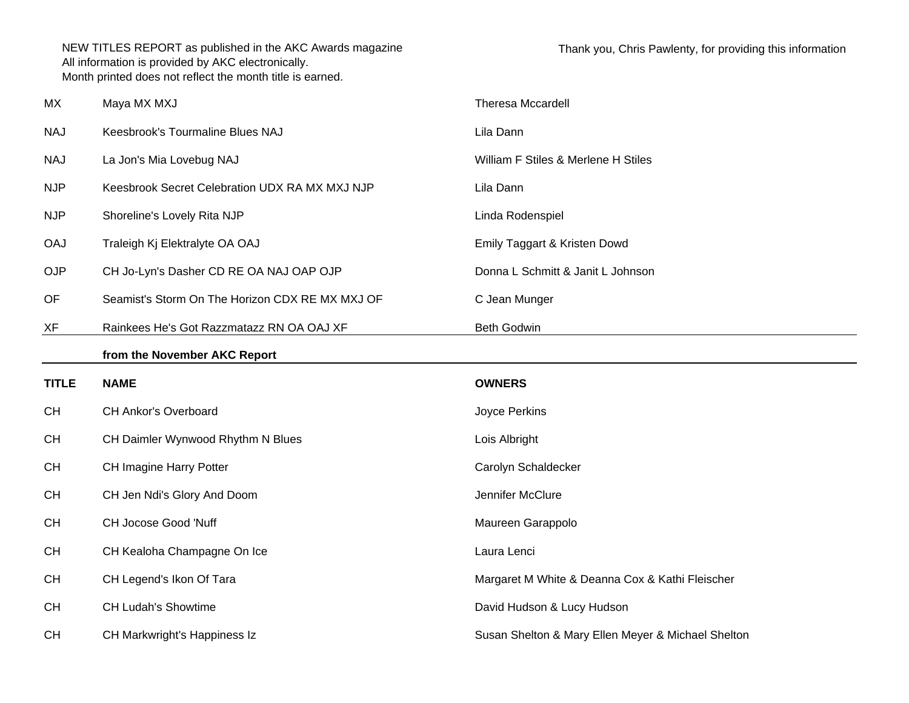| MX           | Maya MX MXJ                                     | Theresa Mccardell                               |
|--------------|-------------------------------------------------|-------------------------------------------------|
| <b>NAJ</b>   | Keesbrook's Tourmaline Blues NAJ                | Lila Dann                                       |
| <b>NAJ</b>   | La Jon's Mia Lovebug NAJ                        | William F Stiles & Merlene H Stiles             |
| <b>NJP</b>   | Keesbrook Secret Celebration UDX RA MX MXJ NJP  | Lila Dann                                       |
| <b>NJP</b>   | Shoreline's Lovely Rita NJP                     | Linda Rodenspiel                                |
| <b>OAJ</b>   | Traleigh Kj Elektralyte OA OAJ                  | Emily Taggart & Kristen Dowd                    |
| <b>OJP</b>   | CH Jo-Lyn's Dasher CD RE OA NAJ OAP OJP         | Donna L Schmitt & Janit L Johnson               |
| OF           | Seamist's Storm On The Horizon CDX RE MX MXJ OF | C Jean Munger                                   |
| XF           | Rainkees He's Got Razzmatazz RN OA OAJ XF       | <b>Beth Godwin</b>                              |
|              | from the November AKC Report                    |                                                 |
|              |                                                 |                                                 |
| <b>TITLE</b> | <b>NAME</b>                                     | <b>OWNERS</b>                                   |
| <b>CH</b>    | <b>CH Ankor's Overboard</b>                     | Joyce Perkins                                   |
| <b>CH</b>    | CH Daimler Wynwood Rhythm N Blues               | Lois Albright                                   |
| <b>CH</b>    | CH Imagine Harry Potter                         | Carolyn Schaldecker                             |
| <b>CH</b>    | CH Jen Ndi's Glory And Doom                     | Jennifer McClure                                |
| <b>CH</b>    | CH Jocose Good 'Nuff                            | Maureen Garappolo                               |
| <b>CH</b>    | CH Kealoha Champagne On Ice                     | Laura Lenci                                     |
| <b>CH</b>    | CH Legend's Ikon Of Tara                        | Margaret M White & Deanna Cox & Kathi Fleischer |
| <b>CH</b>    | <b>CH Ludah's Showtime</b>                      | David Hudson & Lucy Hudson                      |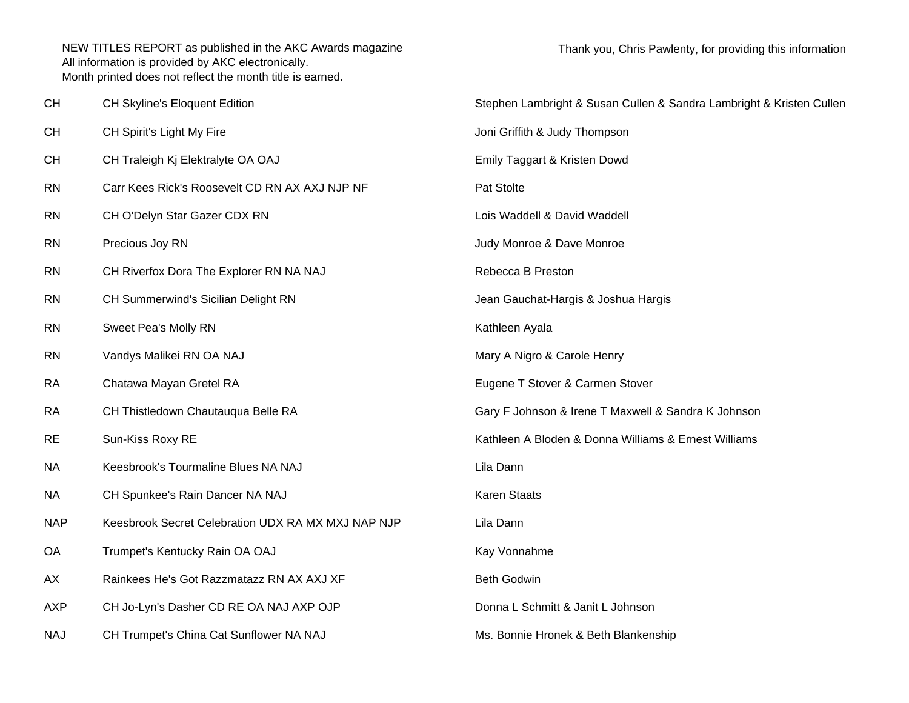| CH         | CH Skyline's Eloquent Edition                      | Stephen Lambright & Susan Cullen & Sandra Lambright & Kristen Cullen |
|------------|----------------------------------------------------|----------------------------------------------------------------------|
| <b>CH</b>  | CH Spirit's Light My Fire                          | Joni Griffith & Judy Thompson                                        |
| <b>CH</b>  | CH Traleigh Kj Elektralyte OA OAJ                  | Emily Taggart & Kristen Dowd                                         |
| <b>RN</b>  | Carr Kees Rick's Roosevelt CD RN AX AXJ NJP NF     | Pat Stolte                                                           |
| <b>RN</b>  | CH O'Delyn Star Gazer CDX RN                       | Lois Waddell & David Waddell                                         |
| <b>RN</b>  | Precious Joy RN                                    | Judy Monroe & Dave Monroe                                            |
| <b>RN</b>  | CH Riverfox Dora The Explorer RN NA NAJ            | Rebecca B Preston                                                    |
| <b>RN</b>  | CH Summerwind's Sicilian Delight RN                | Jean Gauchat-Hargis & Joshua Hargis                                  |
| <b>RN</b>  | Sweet Pea's Molly RN                               | Kathleen Ayala                                                       |
| <b>RN</b>  | Vandys Malikei RN OA NAJ                           | Mary A Nigro & Carole Henry                                          |
| <b>RA</b>  | Chatawa Mayan Gretel RA                            | Eugene T Stover & Carmen Stover                                      |
| <b>RA</b>  | CH Thistledown Chautauqua Belle RA                 | Gary F Johnson & Irene T Maxwell & Sandra K Johnson                  |
| <b>RE</b>  | Sun-Kiss Roxy RE                                   | Kathleen A Bloden & Donna Williams & Ernest Williams                 |
| <b>NA</b>  | Keesbrook's Tourmaline Blues NA NAJ                | Lila Dann                                                            |
| <b>NA</b>  | CH Spunkee's Rain Dancer NA NAJ                    | <b>Karen Staats</b>                                                  |
| <b>NAP</b> | Keesbrook Secret Celebration UDX RA MX MXJ NAP NJP | Lila Dann                                                            |
| OA         | Trumpet's Kentucky Rain OA OAJ                     | Kay Vonnahme                                                         |
| AX         | Rainkees He's Got Razzmatazz RN AX AXJ XF          | <b>Beth Godwin</b>                                                   |
| <b>AXP</b> | CH Jo-Lyn's Dasher CD RE OA NAJ AXP OJP            | Donna L Schmitt & Janit L Johnson                                    |
| <b>NAJ</b> | CH Trumpet's China Cat Sunflower NA NAJ            | Ms. Bonnie Hronek & Beth Blankenship                                 |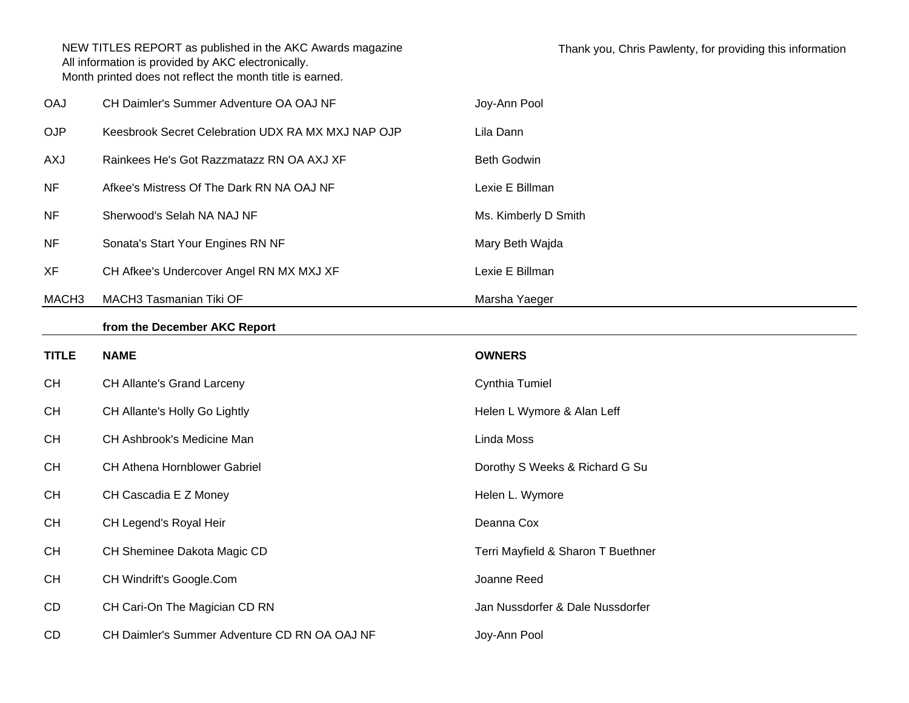| <b>OAJ</b>        | CH Daimler's Summer Adventure OA OAJ NF            | Joy-Ann Pool                       |
|-------------------|----------------------------------------------------|------------------------------------|
| <b>OJP</b>        | Keesbrook Secret Celebration UDX RA MX MXJ NAP OJP | Lila Dann                          |
| AXJ               | Rainkees He's Got Razzmatazz RN OA AXJ XF          | <b>Beth Godwin</b>                 |
| <b>NF</b>         | Afkee's Mistress Of The Dark RN NA OAJ NF          | Lexie E Billman                    |
| <b>NF</b>         | Sherwood's Selah NA NAJ NF                         | Ms. Kimberly D Smith               |
| <b>NF</b>         | Sonata's Start Your Engines RN NF                  | Mary Beth Wajda                    |
| XF                | CH Afkee's Undercover Angel RN MX MXJ XF           | Lexie E Billman                    |
| MACH <sub>3</sub> | MACH3 Tasmanian Tiki OF                            | Marsha Yaeger                      |
|                   | from the December AKC Report                       |                                    |
| <b>TITLE</b>      | <b>NAME</b>                                        | <b>OWNERS</b>                      |
|                   |                                                    |                                    |
| <b>CH</b>         | CH Allante's Grand Larceny                         | Cynthia Tumiel                     |
| <b>CH</b>         | CH Allante's Holly Go Lightly                      | Helen L Wymore & Alan Leff         |
| <b>CH</b>         | CH Ashbrook's Medicine Man                         | Linda Moss                         |
| <b>CH</b>         | CH Athena Hornblower Gabriel                       | Dorothy S Weeks & Richard G Su     |
| <b>CH</b>         | CH Cascadia E Z Money                              | Helen L. Wymore                    |
| <b>CH</b>         | CH Legend's Royal Heir                             | Deanna Cox                         |
| <b>CH</b>         | CH Sheminee Dakota Magic CD                        | Terri Mayfield & Sharon T Buethner |
| <b>CH</b>         | CH Windrift's Google.Com                           | Joanne Reed                        |
| CD                | CH Cari-On The Magician CD RN                      | Jan Nussdorfer & Dale Nussdorfer   |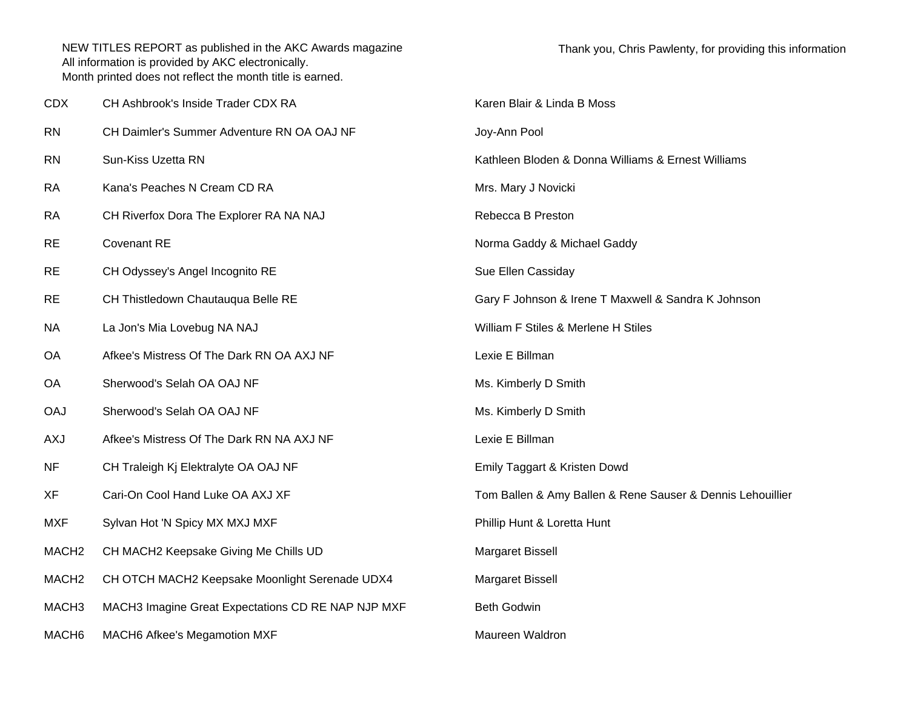| <b>CDX</b>        | CH Ashbrook's Inside Trader CDX RA                 | Karen Blair & Linda B Moss                                 |
|-------------------|----------------------------------------------------|------------------------------------------------------------|
| <b>RN</b>         | CH Daimler's Summer Adventure RN OA OAJ NF         | Joy-Ann Pool                                               |
| <b>RN</b>         | Sun-Kiss Uzetta RN                                 | Kathleen Bloden & Donna Williams & Ernest Williams         |
| <b>RA</b>         | Kana's Peaches N Cream CD RA                       | Mrs. Mary J Novicki                                        |
| <b>RA</b>         | CH Riverfox Dora The Explorer RA NA NAJ            | Rebecca B Preston                                          |
| <b>RE</b>         | <b>Covenant RE</b>                                 | Norma Gaddy & Michael Gaddy                                |
| <b>RE</b>         | CH Odyssey's Angel Incognito RE                    | Sue Ellen Cassiday                                         |
| <b>RE</b>         | CH Thistledown Chautauqua Belle RE                 | Gary F Johnson & Irene T Maxwell & Sandra K Johnson        |
| <b>NA</b>         | La Jon's Mia Lovebug NA NAJ                        | William F Stiles & Merlene H Stiles                        |
| <b>OA</b>         | Afkee's Mistress Of The Dark RN OA AXJ NF          | Lexie E Billman                                            |
| OA                | Sherwood's Selah OA OAJ NF                         | Ms. Kimberly D Smith                                       |
| <b>OAJ</b>        | Sherwood's Selah OA OAJ NF                         | Ms. Kimberly D Smith                                       |
| <b>AXJ</b>        | Afkee's Mistress Of The Dark RN NA AXJ NF          | Lexie E Billman                                            |
| NF                | CH Traleigh Kj Elektralyte OA OAJ NF               | Emily Taggart & Kristen Dowd                               |
| <b>XF</b>         | Cari-On Cool Hand Luke OA AXJ XF                   | Tom Ballen & Amy Ballen & Rene Sauser & Dennis Lehouillier |
| <b>MXF</b>        | Sylvan Hot 'N Spicy MX MXJ MXF                     | Phillip Hunt & Loretta Hunt                                |
| MACH <sub>2</sub> | CH MACH2 Keepsake Giving Me Chills UD              | Margaret Bissell                                           |
| MACH <sub>2</sub> | CH OTCH MACH2 Keepsake Moonlight Serenade UDX4     | Margaret Bissell                                           |
| MACH <sub>3</sub> | MACH3 Imagine Great Expectations CD RE NAP NJP MXF | <b>Beth Godwin</b>                                         |
| MACH <sub>6</sub> | <b>MACH6 Afkee's Megamotion MXF</b>                | Maureen Waldron                                            |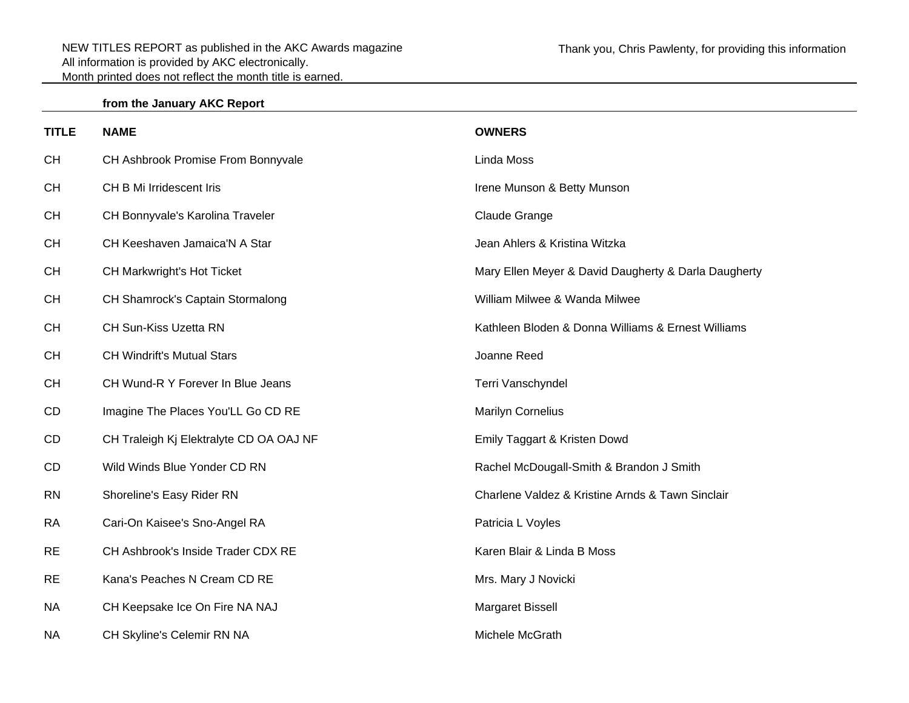## **from the January AKC Report**

| <b>TITLE</b> | <b>NAME</b>                             | <b>OWNERS</b>                                        |
|--------------|-----------------------------------------|------------------------------------------------------|
| <b>CH</b>    | CH Ashbrook Promise From Bonnyvale      | Linda Moss                                           |
| <b>CH</b>    | CH B Mi Irridescent Iris                | Irene Munson & Betty Munson                          |
| <b>CH</b>    | CH Bonnyvale's Karolina Traveler        | Claude Grange                                        |
| <b>CH</b>    | CH Keeshaven Jamaica'N A Star           | Jean Ahlers & Kristina Witzka                        |
| <b>CH</b>    | CH Markwright's Hot Ticket              | Mary Ellen Meyer & David Daugherty & Darla Daugherty |
| CH           | CH Shamrock's Captain Stormalong        | William Milwee & Wanda Milwee                        |
| <b>CH</b>    | CH Sun-Kiss Uzetta RN                   | Kathleen Bloden & Donna Williams & Ernest Williams   |
| CH           | <b>CH Windrift's Mutual Stars</b>       | Joanne Reed                                          |
| CH           | CH Wund-R Y Forever In Blue Jeans       | Terri Vanschyndel                                    |
| CD           | Imagine The Places You'LL Go CD RE      | <b>Marilyn Cornelius</b>                             |
| CD           | CH Traleigh Kj Elektralyte CD OA OAJ NF | Emily Taggart & Kristen Dowd                         |
| CD           | Wild Winds Blue Yonder CD RN            | Rachel McDougall-Smith & Brandon J Smith             |
| <b>RN</b>    | Shoreline's Easy Rider RN               | Charlene Valdez & Kristine Arnds & Tawn Sinclair     |
| <b>RA</b>    | Cari-On Kaisee's Sno-Angel RA           | Patricia L Voyles                                    |
| <b>RE</b>    | CH Ashbrook's Inside Trader CDX RE      | Karen Blair & Linda B Moss                           |
| <b>RE</b>    | Kana's Peaches N Cream CD RE            | Mrs. Mary J Novicki                                  |
| <b>NA</b>    | CH Keepsake Ice On Fire NA NAJ          | Margaret Bissell                                     |
| <b>NA</b>    | CH Skyline's Celemir RN NA              | Michele McGrath                                      |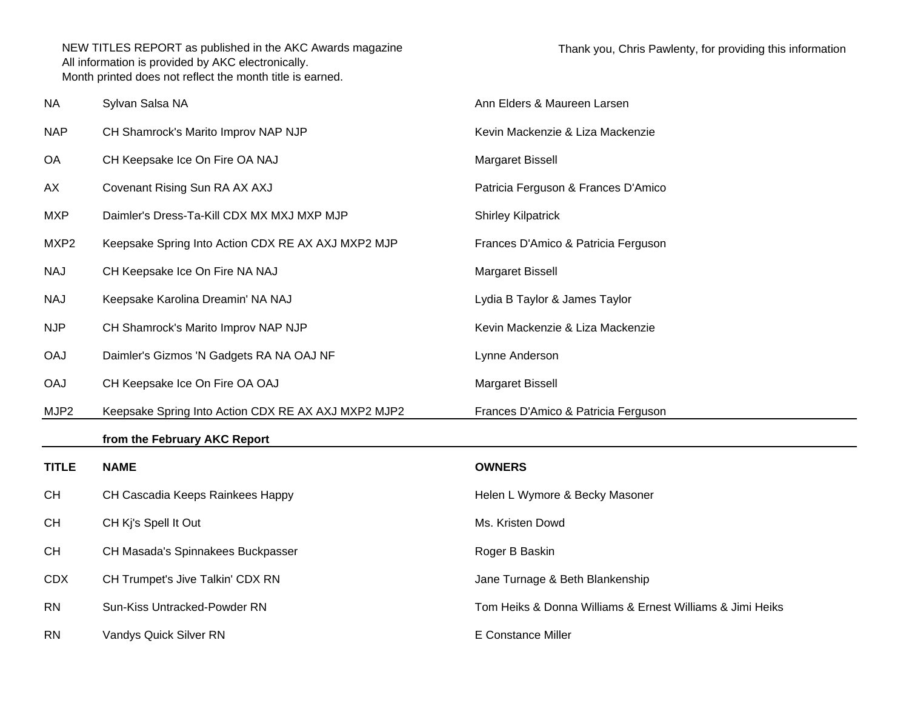| <b>NA</b>    | Sylvan Salsa NA                                     | Ann Elders & Maureen Larsen                               |
|--------------|-----------------------------------------------------|-----------------------------------------------------------|
| <b>NAP</b>   | CH Shamrock's Marito Improv NAP NJP                 | Kevin Mackenzie & Liza Mackenzie                          |
| <b>OA</b>    | CH Keepsake Ice On Fire OA NAJ                      | Margaret Bissell                                          |
| AX           | Covenant Rising Sun RA AX AXJ                       | Patricia Ferguson & Frances D'Amico                       |
| <b>MXP</b>   | Daimler's Dress-Ta-Kill CDX MX MXJ MXP MJP          | <b>Shirley Kilpatrick</b>                                 |
| MXP2         | Keepsake Spring Into Action CDX RE AX AXJ MXP2 MJP  | Frances D'Amico & Patricia Ferguson                       |
| <b>NAJ</b>   | CH Keepsake Ice On Fire NA NAJ                      | Margaret Bissell                                          |
| <b>NAJ</b>   | Keepsake Karolina Dreamin' NA NAJ                   | Lydia B Taylor & James Taylor                             |
| <b>NJP</b>   | CH Shamrock's Marito Improv NAP NJP                 | Kevin Mackenzie & Liza Mackenzie                          |
| <b>OAJ</b>   | Daimler's Gizmos 'N Gadgets RA NA OAJ NF            | Lynne Anderson                                            |
| <b>OAJ</b>   | CH Keepsake Ice On Fire OA OAJ                      | Margaret Bissell                                          |
| MJP2         | Keepsake Spring Into Action CDX RE AX AXJ MXP2 MJP2 | Frances D'Amico & Patricia Ferguson                       |
|              | from the February AKC Report                        |                                                           |
| <b>TITLE</b> | <b>NAME</b>                                         | <b>OWNERS</b>                                             |
| <b>CH</b>    | CH Cascadia Keeps Rainkees Happy                    | Helen L Wymore & Becky Masoner                            |
| <b>CH</b>    | CH Kj's Spell It Out                                | Ms. Kristen Dowd                                          |
| <b>CH</b>    | CH Masada's Spinnakees Buckpasser                   | Roger B Baskin                                            |
| <b>CDX</b>   | CH Trumpet's Jive Talkin' CDX RN                    | Jane Turnage & Beth Blankenship                           |
| <b>RN</b>    | Sun-Kiss Untracked-Powder RN                        | Tom Heiks & Donna Williams & Ernest Williams & Jimi Heiks |
| <b>RN</b>    | Vandys Quick Silver RN                              | <b>E</b> Constance Miller                                 |